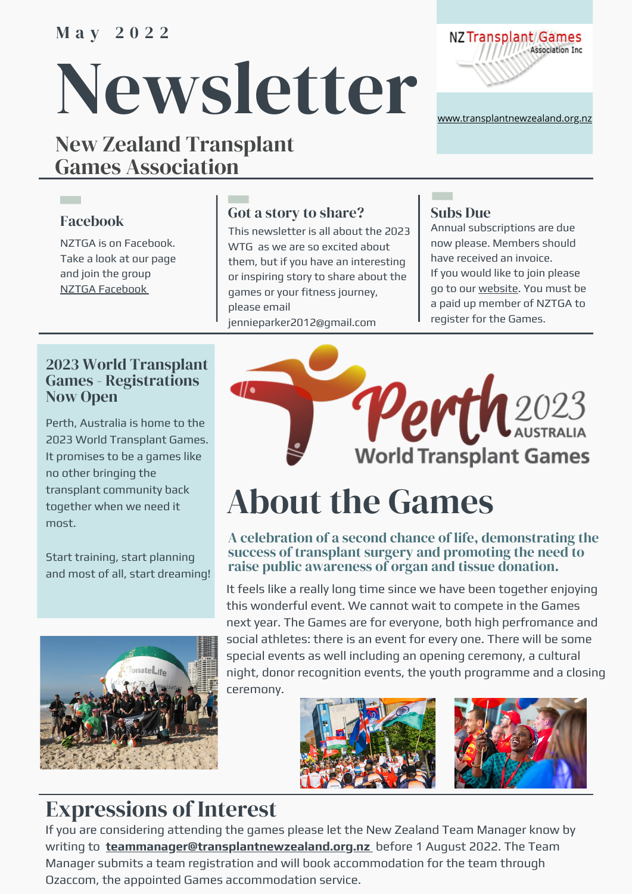### M a y 2 0 2 2

# Newsletter

### New Zealand Transplant Games Association



[www.transplantnewzealand.org.nz](http://transplantnewzealand.org.nz/)

### Facebook

**Contract** 

NZTGA is on Facebook. Take a look at our page and join the group NZTGA [Facebook](https://www.facebook.com/groups/256021870047)

### Got a story to share?

This newsletter is all about the 2023 WTG as we are so excited about them, but if you have an interesting or inspiring story to share about the games or your fitness journey, please email jennieparker2012@gmail.com

### Subs Due

Annual subscriptions are due now please. Members should have received an invoice. If you would like to join please go to our [website.](http://transplantnewzealand.org.nz/join) You must be a paid up member of NZTGA to register for the Games.

### 2023 World Transplant Games - Registrations Now Open

Perth, Australia is home to the 2023 World Transplant Games. It promises to be a games like no other bringing the transplant community back together when we need it most.

Start training, start planning and most of all, start dreaming!





## About the Games

### A celebration of a second chance of life, demonstrating the success of transplant surgery and promoting the need to raise public awareness of organ and tissue donation.

It feels like a really long time since we have been together enjoying this wonderful event. We cannot wait to compete in the Games next year. The Games are for everyone, both high perfromance and social athletes: there is an event for every one. There will be some special events as well including an opening ceremony, a cultural night, donor recognition events, the youth programme and a closing ceremony.





### Expressions of Interest

If you are considering attending the games please let the New Zealand Team Manager know by writing to **teammanager@transplantnewzealand.org.nz** before 1 August 2022. The Team Manager submits a team registration and will book accommodation for the team through Ozaccom, the appointed Games accommodation service.